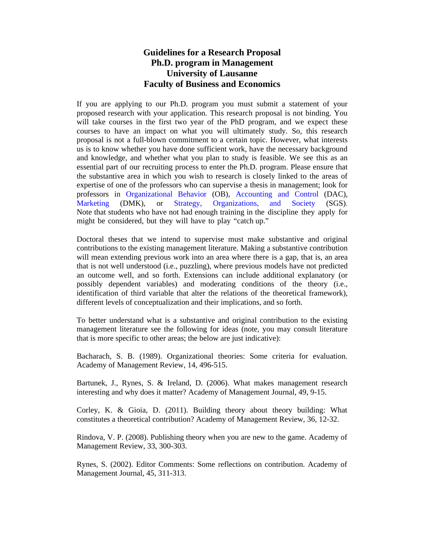# **Guidelines for a Research Proposal Ph.D. program in Management University of Lausanne Faculty of Business and Economics**

If you are applying to our Ph.D. program you must submit a statement of your proposed research with your application. This research proposal is not binding. You will take courses in the first two year of the PhD program, and we expect these courses to have an impact on what you will ultimately study. So, this research proposal is not a full-blown commitment to a certain topic. However, what interests us is to know whether you have done sufficient work, have the necessary background and knowledge, and whether what you plan to study is feasible. We see this as an essential part of our recruiting process to enter the Ph.D. program. Please ensure that the substantive area in which you wish to research is closely linked to the areas of expertise of one of the professors who can supervise a thesis in management; look for professors in [Organizational Behavior](http://www.unil.ch/ob/home/menuinst/members.html) (OB), [Accounting and Control](https://hec.unil.ch/hec/recherche/unite?unite_id=240&dyn_lang=en) (DAC), [Marketing](http://www.unil.ch/dmk/home/menuinst/faculty.html) (DMK), or [Strategy, Organizations, and Society](http://www.unil.ch/sgs/home/menuinst/members.html) (SGS). Note that students who have not had enough training in the discipline they apply for might be considered, but they will have to play "catch up."

Doctoral theses that we intend to supervise must make substantive and original contributions to the existing management literature. Making a substantive contribution will mean extending previous work into an area where there is a gap, that is, an area that is not well understood (i.e., puzzling), where previous models have not predicted an outcome well, and so forth. Extensions can include additional explanatory (or possibly dependent variables) and moderating conditions of the theory (i.e., identification of third variable that alter the relations of the theoretical framework), different levels of conceptualization and their implications, and so forth.

To better understand what is a substantive and original contribution to the existing management literature see the following for ideas (note, you may consult literature that is more specific to other areas; the below are just indicative):

Bacharach, S. B. (1989). Organizational theories: Some criteria for evaluation. Academy of Management Review, 14, 496-515.

Bartunek, J., Rynes, S. & Ireland, D. (2006). What makes management research interesting and why does it matter? Academy of Management Journal, 49, 9-15.

Corley, K. & Gioia, D. (2011). Building theory about theory building: What constitutes a theoretical contribution? Academy of Management Review, 36, 12-32.

Rindova, V. P. (2008). Publishing theory when you are new to the game. Academy of Management Review, 33, 300-303.

Rynes, S. (2002). Editor Comments: Some reflections on contribution. Academy of Management Journal, 45, 311-313.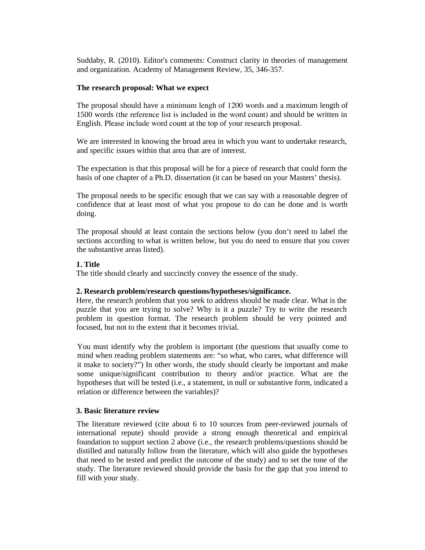Suddaby, R. (2010). Editor's comments: Construct clarity in theories of management and organization. Academy of Management Review, 35, 346-357.

#### **The research proposal: What we expect**

The proposal should have a minimum lengh of 1200 words and a maximum length of 1500 words (the reference list is included in the word count) and should be written in English. Please include word count at the top of your research proposal.

We are interested in knowing the broad area in which you want to undertake research, and specific issues within that area that are of interest.

The expectation is that this proposal will be for a piece of research that could form the basis of one chapter of a Ph.D. dissertation (it can be based on your Masters' thesis).

The proposal needs to be specific enough that we can say with a reasonable degree of confidence that at least most of what you propose to do can be done and is worth doing.

The proposal should at least contain the sections below (you don't need to label the sections according to what is written below, but you do need to ensure that you cover the substantive areas listed).

# **1. Title**

The title should clearly and succinctly convey the essence of the study.

#### **2. Research problem/research questions/hypotheses/significance.**

Here, the research problem that you seek to address should be made clear. What is the puzzle that you are trying to solve? Why is it a puzzle? Try to write the research problem in question format. The research problem should be very pointed and focused, but not to the extent that it becomes trivial.

You must identify why the problem is important (the questions that usually come to mind when reading problem statements are: "so what, who cares, what difference will it make to society?") In other words, the study should clearly be important and make some unique/significant contribution to theory and/or practice. What are the hypotheses that will be tested (i.e., a statement, in null or substantive form, indicated a relation or difference between the variables)?

#### **3. Basic literature review**

The literature reviewed (cite about 6 to 10 sources from peer-reviewed journals of international repute) should provide a strong enough theoretical and empirical foundation to support section 2 above (i.e., the research problems/questions should be distilled and naturally follow from the literature, which will also guide the hypotheses that need to be tested and predict the outcome of the study) and to set the tone of the study. The literature reviewed should provide the basis for the gap that you intend to fill with your study.